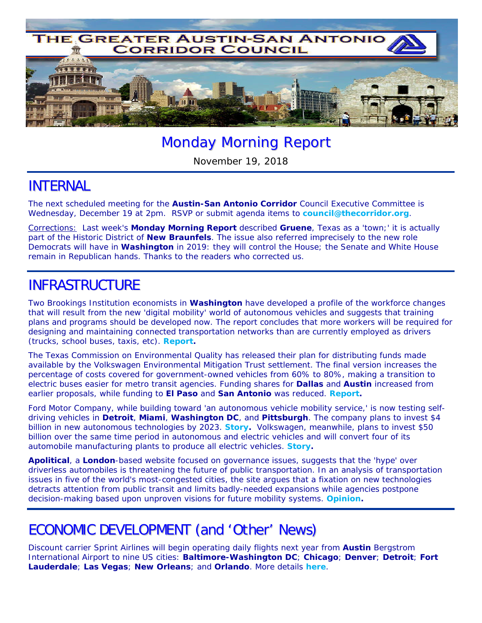

# Monday Morning Report

November 19, 2018

### INTERNAL

The next scheduled meeting for the **Austin-San Antonio Corridor** Council Executive Committee is Wednesday, December 19 at 2pm. RSVP or submit agenda items to **council@thecorridor.org**.

Corrections: Last week's *Monday Morning Report* described **Gruene**, Texas as a 'town;' it is actually part of the Historic District of **New Braunfels**. The issue also referred imprecisely to the new role Democrats will have in **Washington** in 2019: they will control the House; the Senate and White House remain in Republican hands. Thanks to the readers who corrected us.

### INFRASTRUCTURE

Two Brookings Institution economists in **Washington** have developed a profile of the workforce changes that will result from the new 'digital mobility' world of autonomous vehicles and suggests that training plans and programs should be developed now. The report concludes that more workers will be required for designing and maintaining connected transportation networks than are currently employed as drivers (trucks, school buses, taxis, etc). *Report.*

The Texas Commission on Environmental Quality has released their plan for distributing funds made available by the Volkswagen Environmental Mitigation Trust settlement. The final version increases the percentage of costs covered for government-owned vehicles from 60% to 80%, making a transition to electric buses easier for metro transit agencies. Funding shares for **Dallas** and **Austin** increased from earlier proposals, while funding to **El Paso** and **San Antonio** was reduced. *Report.* 

Ford Motor Company, while building toward 'an autonomous vehicle mobility service,' is now testing selfdriving vehicles in **Detroit**, **Miami**, **Washington DC**, and **Pittsburgh**. The company plans to invest \$4 billion in new autonomous technologies by 2023. *Story.* Volkswagen, meanwhile, plans to invest \$50 billion over the same time period in autonomous and electric vehicles and will convert four of its automobile manufacturing plants to produce all electric vehicles. *Story.*

*Apolitical*, a **London**-based website focused on governance issues, suggests that the 'hype' over driverless automobiles is threatening the future of public transportation. In an analysis of transportation issues in five of the world's most-congested cities, the site argues that a fixation on new technologies detracts attention from public transit and limits badly-needed expansions while agencies postpone decision-making based upon unproven visions for future mobility systems. *Opinion.*

# ECONOMIC DEVELOPMENT (and 'Other' News)

Discount carrier Sprint Airlines will begin operating daily flights next year from **Austin** Bergstrom International Airport to nine US cities: **Baltimore-Washington DC**; **Chicago**; **Denver**; **Detroit**; **Fort Lauderdale**; **Las Vegas**; **New Orleans**; and **Orlando**. More details *here*.